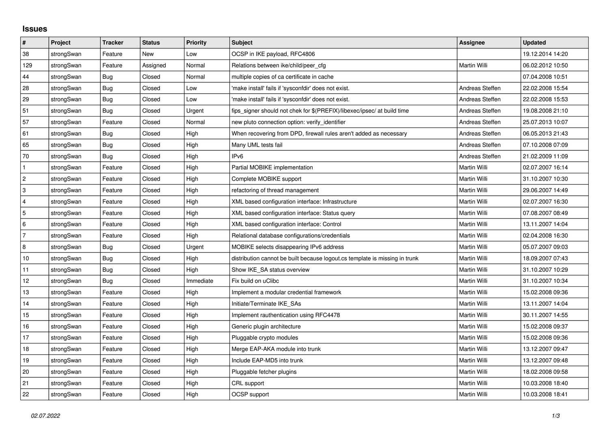## **Issues**

| #               | Project    | <b>Tracker</b> | <b>Status</b> | <b>Priority</b> | <b>Subject</b>                                                              | <b>Assignee</b> | <b>Updated</b>   |
|-----------------|------------|----------------|---------------|-----------------|-----------------------------------------------------------------------------|-----------------|------------------|
| 38              | strongSwan | Feature        | <b>New</b>    | Low             | OCSP in IKE payload, RFC4806                                                |                 | 19.12.2014 14:20 |
| 129             | strongSwan | Feature        | Assigned      | Normal          | Relations between ike/child/peer cfg                                        | Martin Willi    | 06.02.2012 10:50 |
| 44              | strongSwan | Bug            | Closed        | Normal          | multiple copies of ca certificate in cache                                  |                 | 07.04.2008 10:51 |
| 28              | strongSwan | Bug            | Closed        | Low             | 'make install' fails if 'sysconfdir' does not exist.                        | Andreas Steffen | 22.02.2008 15:54 |
| 29              | strongSwan | Bug            | Closed        | Low             | 'make install' fails if 'sysconfdir' does not exist.                        | Andreas Steffen | 22.02.2008 15:53 |
| 51              | strongSwan | Bug            | Closed        | Urgent          | fips_signer should not chek for \$(PREFIX)/libexec/ipsec/ at build time     | Andreas Steffen | 19.08.2008 21:10 |
| 57              | strongSwan | Feature        | Closed        | Normal          | new pluto connection option: verify identifier                              | Andreas Steffen | 25.07.2013 10:07 |
| 61              | strongSwan | <b>Bug</b>     | Closed        | High            | When recovering from DPD, firewall rules aren't added as necessary          | Andreas Steffen | 06.05.2013 21:43 |
| 65              | strongSwan | Bug            | Closed        | High            | Many UML tests fail                                                         | Andreas Steffen | 07.10.2008 07:09 |
| 70              | strongSwan | Bug            | Closed        | High            | IP <sub>v6</sub>                                                            | Andreas Steffen | 21.02.2009 11:09 |
| $\mathbf{1}$    | strongSwan | Feature        | Closed        | High            | Partial MOBIKE implementation                                               | Martin Willi    | 02.07.2007 16:14 |
| $\overline{c}$  | strongSwan | Feature        | Closed        | High            | Complete MOBIKE support                                                     | Martin Willi    | 31.10.2007 10:30 |
| 3               | strongSwan | Feature        | Closed        | High            | refactoring of thread management                                            | Martin Willi    | 29.06.2007 14:49 |
| 4               | strongSwan | Feature        | Closed        | High            | XML based configuration interface: Infrastructure                           | Martin Willi    | 02.07.2007 16:30 |
| 5               | strongSwan | Feature        | Closed        | High            | XML based configuration interface: Status query                             | Martin Willi    | 07.08.2007 08:49 |
| $6\phantom{.}6$ | strongSwan | Feature        | Closed        | High            | XML based configuration interface: Control                                  | Martin Willi    | 13.11.2007 14:04 |
| $\overline{7}$  | strongSwan | Feature        | Closed        | High            | Relational database configurations/credentials                              | Martin Willi    | 02.04.2008 16:30 |
| $\,8\,$         | strongSwan | Bug            | Closed        | Urgent          | MOBIKE selects disappearing IPv6 address                                    | Martin Willi    | 05.07.2007 09:03 |
| 10              | strongSwan | Bug            | Closed        | High            | distribution cannot be built because logout cs template is missing in trunk | Martin Willi    | 18.09.2007 07:43 |
| 11              | strongSwan | Bug            | Closed        | High            | Show IKE SA status overview                                                 | Martin Willi    | 31.10.2007 10:29 |
| 12              | strongSwan | Bug            | Closed        | Immediate       | Fix build on uClibc                                                         | Martin Willi    | 31.10.2007 10:34 |
| 13              | strongSwan | Feature        | Closed        | High            | Implement a modular credential framework                                    | Martin Willi    | 15.02.2008 09:36 |
| 14              | strongSwan | Feature        | Closed        | High            | Initiate/Terminate IKE_SAs                                                  | Martin Willi    | 13.11.2007 14:04 |
| 15              | strongSwan | Feature        | Closed        | High            | Implement rauthentication using RFC4478                                     | Martin Willi    | 30.11.2007 14:55 |
| 16              | strongSwan | Feature        | Closed        | High            | Generic plugin architecture                                                 | Martin Willi    | 15.02.2008 09:37 |
| 17              | strongSwan | Feature        | Closed        | High            | Pluggable crypto modules                                                    | Martin Willi    | 15.02.2008 09:36 |
| 18              | strongSwan | Feature        | Closed        | High            | Merge EAP-AKA module into trunk                                             | Martin Willi    | 13.12.2007 09:47 |
| 19              | strongSwan | Feature        | Closed        | High            | Include EAP-MD5 into trunk                                                  | Martin Willi    | 13.12.2007 09:48 |
| 20              | strongSwan | Feature        | Closed        | High            | Pluggable fetcher plugins                                                   | Martin Willi    | 18.02.2008 09:58 |
| 21              | strongSwan | Feature        | Closed        | High            | CRL support                                                                 | Martin Willi    | 10.03.2008 18:40 |
| 22              | strongSwan | Feature        | Closed        | High            | OCSP support                                                                | Martin Willi    | 10.03.2008 18:41 |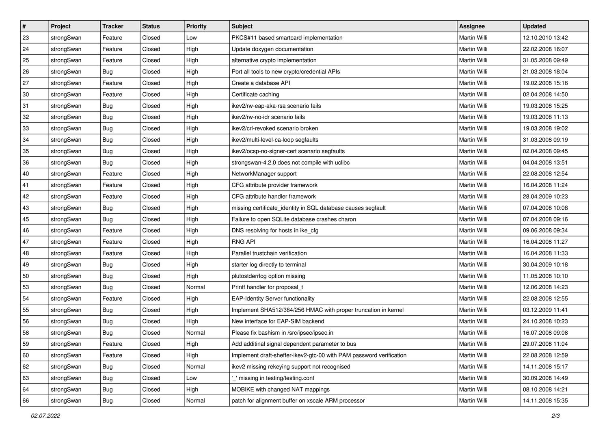| $\vert$ # | Project    | <b>Tracker</b> | <b>Status</b> | <b>Priority</b> | <b>Subject</b>                                                      | Assignee            | <b>Updated</b>   |
|-----------|------------|----------------|---------------|-----------------|---------------------------------------------------------------------|---------------------|------------------|
| 23        | strongSwan | Feature        | Closed        | Low             | PKCS#11 based smartcard implementation                              | Martin Willi        | 12.10.2010 13:42 |
| 24        | strongSwan | Feature        | Closed        | High            | Update doxygen documentation                                        | <b>Martin Willi</b> | 22.02.2008 16:07 |
| 25        | strongSwan | Feature        | Closed        | High            | alternative crypto implementation                                   | Martin Willi        | 31.05.2008 09:49 |
| 26        | strongSwan | Bug            | Closed        | High            | Port all tools to new crypto/credential APIs                        | Martin Willi        | 21.03.2008 18:04 |
| 27        | strongSwan | Feature        | Closed        | High            | Create a database API                                               | Martin Willi        | 19.02.2008 15:16 |
| 30        | strongSwan | Feature        | Closed        | High            | Certificate caching                                                 | Martin Willi        | 02.04.2008 14:50 |
| 31        | strongSwan | Bug            | Closed        | High            | ikev2/rw-eap-aka-rsa scenario fails                                 | Martin Willi        | 19.03.2008 15:25 |
| 32        | strongSwan | Bug            | Closed        | High            | ikev2/rw-no-idr scenario fails                                      | Martin Willi        | 19.03.2008 11:13 |
| 33        | strongSwan | <b>Bug</b>     | Closed        | High            | ikev2/crl-revoked scenario broken                                   | Martin Willi        | 19.03.2008 19:02 |
| 34        | strongSwan | <b>Bug</b>     | Closed        | High            | ikev2/multi-level-ca-loop segfaults                                 | Martin Willi        | 31.03.2008 09:19 |
| 35        | strongSwan | Bug            | Closed        | High            | ikev2/ocsp-no-signer-cert scenario segfaults                        | Martin Willi        | 02.04.2008 09:45 |
| 36        | strongSwan | <b>Bug</b>     | Closed        | High            | strongswan-4.2.0 does not compile with uclibc                       | Martin Willi        | 04.04.2008 13:51 |
| 40        | strongSwan | Feature        | Closed        | High            | NetworkManager support                                              | <b>Martin Willi</b> | 22.08.2008 12:54 |
| 41        | strongSwan | Feature        | Closed        | High            | CFG attribute provider framework                                    | Martin Willi        | 16.04.2008 11:24 |
| 42        | strongSwan | Feature        | Closed        | High            | CFG attribute handler framework                                     | <b>Martin Willi</b> | 28.04.2009 10:23 |
| 43        | strongSwan | <b>Bug</b>     | Closed        | High            | missing certificate_identity in SQL database causes segfault        | Martin Willi        | 07.04.2008 10:08 |
| 45        | strongSwan | <b>Bug</b>     | Closed        | High            | Failure to open SQLite database crashes charon                      | <b>Martin Willi</b> | 07.04.2008 09:16 |
| 46        | strongSwan | Feature        | Closed        | High            | DNS resolving for hosts in ike_cfg                                  | Martin Willi        | 09.06.2008 09:34 |
| 47        | strongSwan | Feature        | Closed        | High            | <b>RNG API</b>                                                      | Martin Willi        | 16.04.2008 11:27 |
| 48        | strongSwan | Feature        | Closed        | High            | Parallel trustchain verification                                    | Martin Willi        | 16.04.2008 11:33 |
| 49        | strongSwan | Bug            | Closed        | High            | starter log directly to terminal                                    | Martin Willi        | 30.04.2009 10:18 |
| 50        | strongSwan | <b>Bug</b>     | Closed        | High            | plutostderrlog option missing                                       | Martin Willi        | 11.05.2008 10:10 |
| 53        | strongSwan | Bug            | Closed        | Normal          | Printf handler for proposal_t                                       | Martin Willi        | 12.06.2008 14:23 |
| 54        | strongSwan | Feature        | Closed        | High            | <b>EAP-Identity Server functionality</b>                            | Martin Willi        | 22.08.2008 12:55 |
| 55        | strongSwan | <b>Bug</b>     | Closed        | High            | Implement SHA512/384/256 HMAC with proper truncation in kernel      | Martin Willi        | 03.12.2009 11:41 |
| 56        | strongSwan | <b>Bug</b>     | Closed        | High            | New interface for EAP-SIM backend                                   | Martin Willi        | 24.10.2008 10:23 |
| 58        | strongSwan | Bug            | Closed        | Normal          | Please fix bashism in /src/ipsec/ipsec.in                           | Martin Willi        | 16.07.2008 09:08 |
| 59        | strongSwan | Feature        | Closed        | High            | Add additinal signal dependent parameter to bus                     | Martin Willi        | 29.07.2008 11:04 |
| 60        | strongSwan | Feature        | Closed        | High            | Implement draft-sheffer-ikev2-gtc-00 with PAM password verification | Martin Willi        | 22.08.2008 12:59 |
| 62        | strongSwan | Bug            | Closed        | Normal          | ikev2 missing rekeying support not recognised                       | Martin Willi        | 14.11.2008 15:17 |
| 63        | strongSwan | <b>Bug</b>     | Closed        | Low             | missing in testing/testing.conf                                     | Martin Willi        | 30.09.2008 14:49 |
| 64        | strongSwan | Bug            | Closed        | High            | MOBIKE with changed NAT mappings                                    | Martin Willi        | 08.10.2008 14:21 |
| 66        | strongSwan | <b>Bug</b>     | Closed        | Normal          | patch for alignment buffer on xscale ARM processor                  | Martin Willi        | 14.11.2008 15:35 |